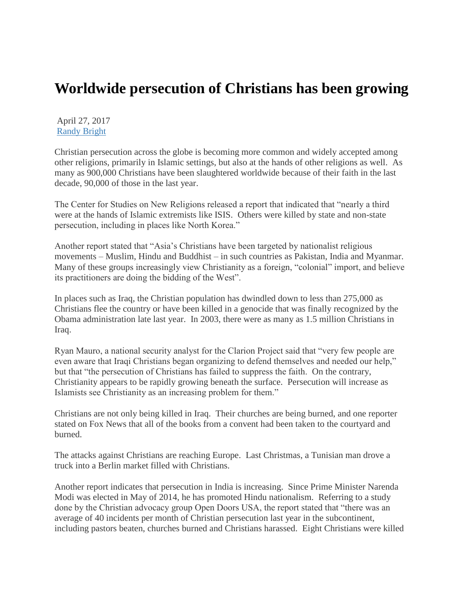## **Worldwide persecution of Christians has been growing**

April 27, 2017 [Randy Bright](http://tulsabeacon.com/author/randy-bright/)

Christian persecution across the globe is becoming more common and widely accepted among other religions, primarily in Islamic settings, but also at the hands of other religions as well. As many as 900,000 Christians have been slaughtered worldwide because of their faith in the last decade, 90,000 of those in the last year.

The Center for Studies on New Religions released a report that indicated that "nearly a third were at the hands of Islamic extremists like ISIS. Others were killed by state and non-state persecution, including in places like North Korea."

Another report stated that "Asia's Christians have been targeted by nationalist religious movements – Muslim, Hindu and Buddhist – in such countries as Pakistan, India and Myanmar. Many of these groups increasingly view Christianity as a foreign, "colonial" import, and believe its practitioners are doing the bidding of the West".

In places such as Iraq, the Christian population has dwindled down to less than 275,000 as Christians flee the country or have been killed in a genocide that was finally recognized by the Obama administration late last year. In 2003, there were as many as 1.5 million Christians in Iraq.

Ryan Mauro, a national security analyst for the Clarion Project said that "very few people are even aware that Iraqi Christians began organizing to defend themselves and needed our help," but that "the persecution of Christians has failed to suppress the faith. On the contrary, Christianity appears to be rapidly growing beneath the surface. Persecution will increase as Islamists see Christianity as an increasing problem for them."

Christians are not only being killed in Iraq. Their churches are being burned, and one reporter stated on Fox News that all of the books from a convent had been taken to the courtyard and burned.

The attacks against Christians are reaching Europe. Last Christmas, a Tunisian man drove a truck into a Berlin market filled with Christians.

Another report indicates that persecution in India is increasing. Since Prime Minister Narenda Modi was elected in May of 2014, he has promoted Hindu nationalism. Referring to a study done by the Christian advocacy group Open Doors USA, the report stated that "there was an average of 40 incidents per month of Christian persecution last year in the subcontinent, including pastors beaten, churches burned and Christians harassed. Eight Christians were killed